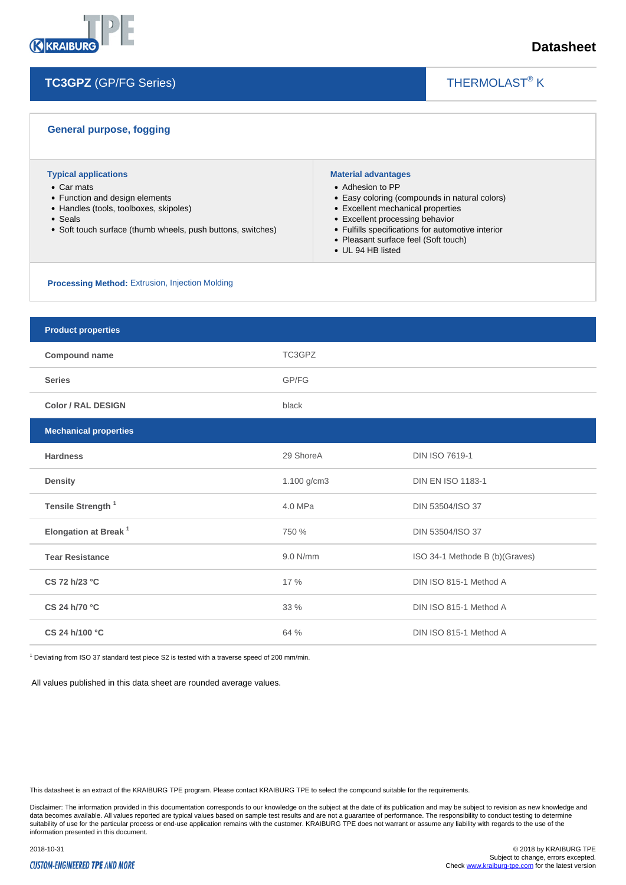

THERMOLAST<sup>®</sup> K

 $\overline{\phantom{a}}$ 

| <b>General purpose, fogging</b>                                                                                                                                                                 |                                                                                                        |                                                                                                                                                                                 |
|-------------------------------------------------------------------------------------------------------------------------------------------------------------------------------------------------|--------------------------------------------------------------------------------------------------------|---------------------------------------------------------------------------------------------------------------------------------------------------------------------------------|
| <b>Typical applications</b><br>• Car mats<br>• Function and design elements<br>• Handles (tools, toolboxes, skipoles)<br>• Seals<br>• Soft touch surface (thumb wheels, push buttons, switches) | <b>Material advantages</b><br>• Adhesion to PP<br>• Excellent processing behavior<br>• UL 94 HB listed | • Easy coloring (compounds in natural colors)<br>• Excellent mechanical properties<br>• Fulfills specifications for automotive interior<br>• Pleasant surface feel (Soft touch) |
| <b>Processing Method:</b> Extrusion, Injection Molding                                                                                                                                          |                                                                                                        |                                                                                                                                                                                 |
|                                                                                                                                                                                                 |                                                                                                        |                                                                                                                                                                                 |
| <b>Product properties</b>                                                                                                                                                                       |                                                                                                        |                                                                                                                                                                                 |
| Compound name                                                                                                                                                                                   | TC3GPZ                                                                                                 |                                                                                                                                                                                 |
| <b>Series</b>                                                                                                                                                                                   | GP/FG                                                                                                  |                                                                                                                                                                                 |
| <b>Color / RAL DESIGN</b>                                                                                                                                                                       | black                                                                                                  |                                                                                                                                                                                 |
| <b>Mechanical properties</b>                                                                                                                                                                    |                                                                                                        |                                                                                                                                                                                 |
| <b>Hardness</b>                                                                                                                                                                                 | 29 ShoreA                                                                                              | <b>DIN ISO 7619-1</b>                                                                                                                                                           |
| <b>Density</b>                                                                                                                                                                                  | 1.100 $q/cm3$                                                                                          | <b>DIN EN ISO 1183-1</b>                                                                                                                                                        |
| Tensile Strength <sup>1</sup>                                                                                                                                                                   | 4.0 MPa                                                                                                | DIN 53504/ISO 37                                                                                                                                                                |
| Elongation at Break <sup>1</sup>                                                                                                                                                                | 750 %                                                                                                  | DIN 53504/ISO 37                                                                                                                                                                |
| <b>Tear Resistance</b>                                                                                                                                                                          | 9.0 N/mm                                                                                               | ISO 34-1 Methode B (b)(Graves)                                                                                                                                                  |
| CS 72 h/23 °C                                                                                                                                                                                   | 17 %                                                                                                   | DIN ISO 815-1 Method A                                                                                                                                                          |
| CS 24 h/70 °C                                                                                                                                                                                   | 33 %                                                                                                   | DIN ISO 815-1 Method A                                                                                                                                                          |
| CS 24 h/100 °C                                                                                                                                                                                  | 64 %                                                                                                   | DIN ISO 815-1 Method A                                                                                                                                                          |

 $1$  Deviating from ISO 37 standard test piece S2 is tested with a traverse speed of 200 mm/min.

All values published in this data sheet are rounded average values.

This datasheet is an extract of the KRAIBURG TPE program. Please contact KRAIBURG TPE to select the compound suitable for the requirements.

Disclaimer: The information provided in this documentation corresponds to our knowledge on the subject at the date of its publication and may be subject to revision as new knowledge and data becomes available. All values reported are typical values based on sample test results and are not a guarantee of performance. The responsibility to conduct testing to determine<br>suitability of use for the particular p

#### **CUSTOM-ENGINEERED TPE AND MORE**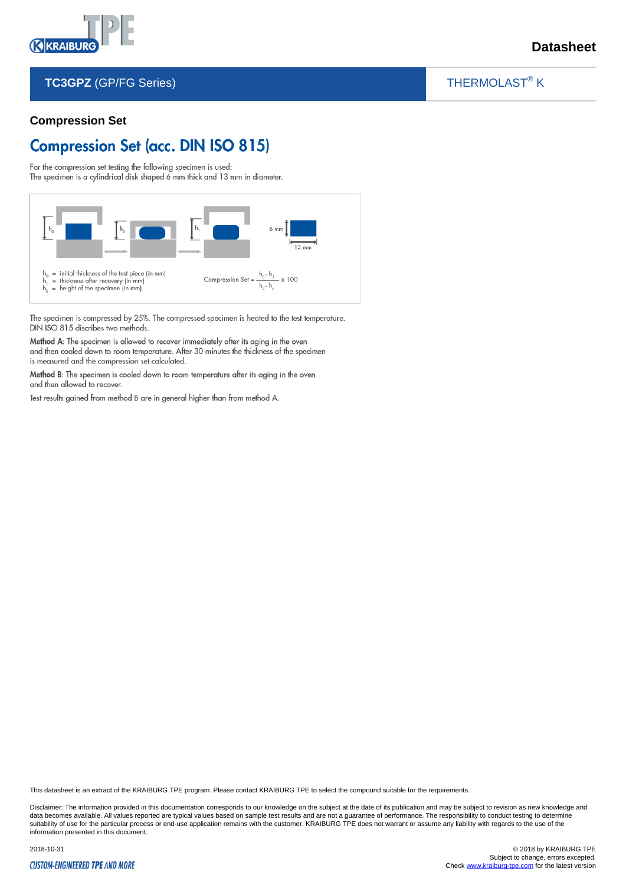

### THERMOLAST<sup>®</sup> K

 $\overline{\phantom{a}}$ 

#### **Compression Set**

# **Compression Set (acc. DIN ISO 815)**

For the compression set testing the following specimen is used: The specimen is a cylindrical disk shaped 6 mm thick and 13 mm in diameter.



The specimen is compressed by 25%. The compressed specimen is heated to the test temperature. DIN ISO 815 discribes two methods.

Method A: The specimen is allowed to recover immediately after its aging in the oven and then cooled down to room temperature. After 30 minutes the thickness of the specimen is measured and the compression set calculated.

Method B: The specimen is cooled down to room temperature after its aging in the oven and then allowed to recover.

Test results gained from method B are in general higher than from method A.

This datasheet is an extract of the KRAIBURG TPE program. Please contact KRAIBURG TPE to select the compound suitable for the requirements.

Disclaimer: The information provided in this documentation corresponds to our knowledge on the subject at the date of its publication and may be subject to revision as new knowledge and data becomes available. All values reported are typical values based on sample test results and are not a guarantee of performance. The responsibility to conduct testing to determine suitability of use for the particular process or end-use application remains with the customer. KRAIBURG TPE does not warrant or assume any liability with regards to the use of the such that is a state in the customer. KRA information presented in this document.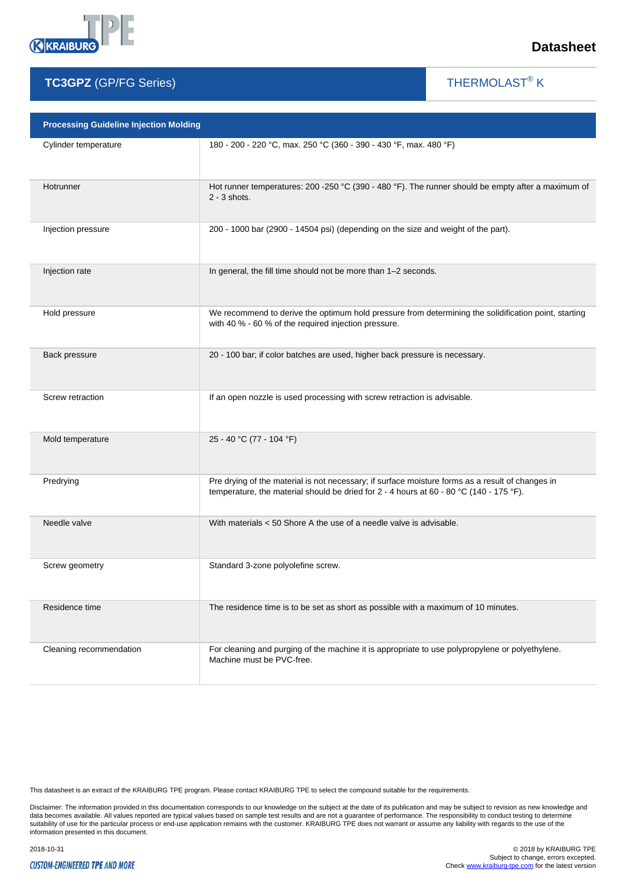

THERMOLAST<sup>®</sup> K

 $\overline{\phantom{a}}$ 

| <b>Processing Guideline Injection Molding</b> |                                                                                                                                                                                             |  |
|-----------------------------------------------|---------------------------------------------------------------------------------------------------------------------------------------------------------------------------------------------|--|
| Cylinder temperature                          | 180 - 200 - 220 °C, max. 250 °C (360 - 390 - 430 °F, max. 480 °F)                                                                                                                           |  |
| Hotrunner                                     | Hot runner temperatures: 200 -250 °C (390 - 480 °F). The runner should be empty after a maximum of<br>$2 - 3$ shots.                                                                        |  |
| Injection pressure                            | 200 - 1000 bar (2900 - 14504 psi) (depending on the size and weight of the part).                                                                                                           |  |
| Injection rate                                | In general, the fill time should not be more than 1-2 seconds.                                                                                                                              |  |
| Hold pressure                                 | We recommend to derive the optimum hold pressure from determining the solidification point, starting<br>with 40 % - 60 % of the required injection pressure.                                |  |
| Back pressure                                 | 20 - 100 bar; if color batches are used, higher back pressure is necessary.                                                                                                                 |  |
| Screw retraction                              | If an open nozzle is used processing with screw retraction is advisable.                                                                                                                    |  |
| Mold temperature                              | 25 - 40 °C (77 - 104 °F)                                                                                                                                                                    |  |
| Predrying                                     | Pre drying of the material is not necessary; if surface moisture forms as a result of changes in<br>temperature, the material should be dried for 2 - 4 hours at 60 - 80 °C (140 - 175 °F). |  |
| Needle valve                                  | With materials < 50 Shore A the use of a needle valve is advisable.                                                                                                                         |  |
| Screw geometry                                | Standard 3-zone polyolefine screw.                                                                                                                                                          |  |
| Residence time                                | The residence time is to be set as short as possible with a maximum of 10 minutes.                                                                                                          |  |
| Cleaning recommendation                       | For cleaning and purging of the machine it is appropriate to use polypropylene or polyethylene.<br>Machine must be PVC-free.                                                                |  |

This datasheet is an extract of the KRAIBURG TPE program. Please contact KRAIBURG TPE to select the compound suitable for the requirements.

Disclaimer: The information provided in this documentation corresponds to our knowledge on the subject at the date of its publication and may be subject to revision as new knowledge and<br>data becomes available. All values r